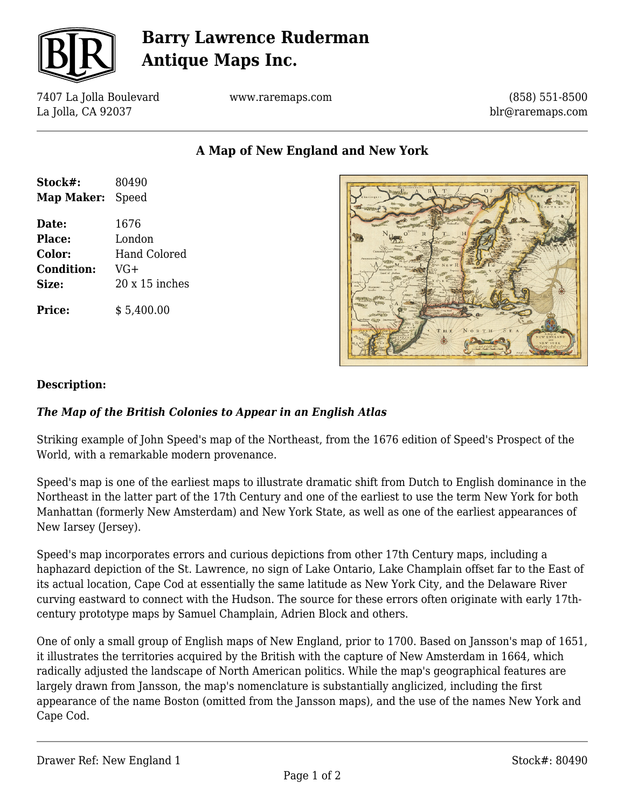

# **Barry Lawrence Ruderman Antique Maps Inc.**

7407 La Jolla Boulevard La Jolla, CA 92037

www.raremaps.com

(858) 551-8500 blr@raremaps.com

**A Map of New England and New York**

| Stock#:<br>Map Maker: | 80490<br>Speed |
|-----------------------|----------------|
| Date:                 | 1676           |
| <b>Place:</b>         | London         |
| Color:                | Hand Colored   |
| <b>Condition:</b>     | VG+            |
| Size:                 | $20x15$ inches |
| <b>Price:</b>         | \$5,400.00     |



#### **Description:**

### *The Map of the British Colonies to Appear in an English Atlas*

Striking example of John Speed's map of the Northeast, from the 1676 edition of Speed's Prospect of the World, with a remarkable modern provenance.

Speed's map is one of the earliest maps to illustrate dramatic shift from Dutch to English dominance in the Northeast in the latter part of the 17th Century and one of the earliest to use the term New York for both Manhattan (formerly New Amsterdam) and New York State, as well as one of the earliest appearances of New Iarsey (Jersey).

Speed's map incorporates errors and curious depictions from other 17th Century maps, including a haphazard depiction of the St. Lawrence, no sign of Lake Ontario, Lake Champlain offset far to the East of its actual location, Cape Cod at essentially the same latitude as New York City, and the Delaware River curving eastward to connect with the Hudson. The source for these errors often originate with early 17thcentury prototype maps by Samuel Champlain, Adrien Block and others.

One of only a small group of English maps of New England, prior to 1700. Based on Jansson's map of 1651, it illustrates the territories acquired by the British with the capture of New Amsterdam in 1664, which radically adjusted the landscape of North American politics. While the map's geographical features are largely drawn from Jansson, the map's nomenclature is substantially anglicized, including the first appearance of the name Boston (omitted from the Jansson maps), and the use of the names New York and Cape Cod.